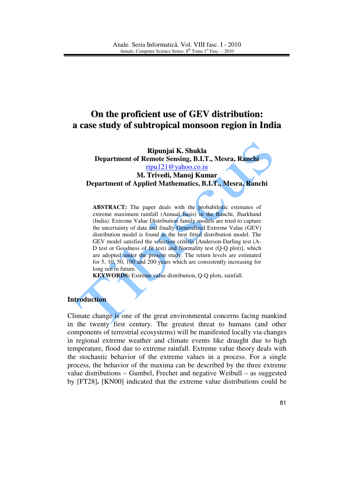# **On the proficient use of GEV distribution: a case study of subtropical monsoon region in India**

**Ripunjai K. Shukla Department of Remote Sensing, B.I.T., Mesra, Ranchi**  ripu121@yahoo.co.in **M. Trivedi, Manoj Kumar Department of Applied Mathematics, B.I.T., Mesra, Ranchi** 

ABSTRACT: The paper deals with the probabilistic estimates of extreme maximum rainfall (Annual basis) in the Ranchi, Jharkhand (India). Extreme Value Distribution family models are tried to capture the uncertainty of data and finally Generalized Extreme Value (GEV) distribution model is found as the best fitted distribution model. The GEV model satisfied the selection criteria [Anderson-Darling test (A-D test or Goodness of fit test) and Normality test (Q-Q plot)], which

are adopted under the present study. The return levels are estimated

for 5, 10, 50, 100 and 200 years which are consistently increasing for long run in future.

**KEYWORDS:** Extreme value distribution, Q-Q plots, rainfall.

## **Introduction**

Climate change is one of the great environmental concerns facing mankind in the twenty first century. The greatest threat to humans (and other components of terrestrial ecosystems) will be manifested locally via changes in regional extreme weather and climate events like draught due to high temperature, flood due to extreme rainfall. Extreme value theory deals with the stochastic behavior of the extreme values in a process. For a single process, the behavior of the maxima can be described by the three extreme value distributions – Gumbel, Frechet and negative Weibull – as suggested by [FT28]**.** [KN00] indicated that the extreme value distributions could be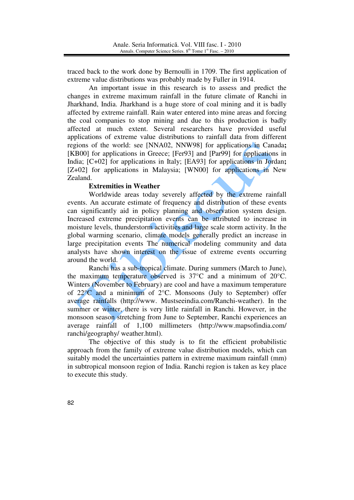traced back to the work done by Bernoulli in 1709. The first application of extreme value distributions was probably made by Fuller in 1914.

An important issue in this research is to assess and predict the changes in extreme maximum rainfall in the future climate of Ranchi in Jharkhand, India. Jharkhand is a huge store of coal mining and it is badly affected by extreme rainfall. Rain water entered into mine areas and forcing the coal companies to stop mining and due to this production is badly affected at much extent. Several researchers have provided useful applications of extreme value distributions to rainfall data from different regions of the world: see [NNA02, NNW98] for applications in Canada**;**  [KB00] for applications in Greece; [Fer93] and [Par99] for applications in India; [C+02] for applications in Italy; [EA93] for applications in Jordan**;**  [Z+02] for applications in Malaysia; [WN00] for applications in New Zealand.

## **Extremities in Weather**

Worldwide areas today severely affected by the extreme rainfall events. An accurate estimate of frequency and distribution of these events can significantly aid in policy planning and observation system design. Increased extreme precipitation events can be attributed to increase in moisture levels, thunderstorm activities and large scale storm activity. In the global warming scenario, climate models generally predict an increase in large precipitation events The numerical modeling community and data analysts have shown interest on the issue of extreme events occurring around the world.

Ranchi has a sub-tropical climate. During summers (March to June), the maximum temperature observed is 37°C and a minimum of 20°C. Winters (November to February) are cool and have a maximum temperature of 22°C and a minimum of 2°C. Monsoons (July to September) offer average rainfalls (http://www. Mustseeindia.com/Ranchi-weather). In the summer or winter, there is very little rainfall in Ranchi. However, in the monsoon season stretching from June to September, Ranchi experiences an average rainfall of 1,100 millimeters (http://www.mapsofindia.com/ ranchi/geography/ weather.html).

The objective of this study is to fit the efficient probabilistic approach from the family of extreme value distribution models, which can suitably model the uncertainties pattern in extreme maximum rainfall (mm) in subtropical monsoon region of India. Ranchi region is taken as key place to execute this study.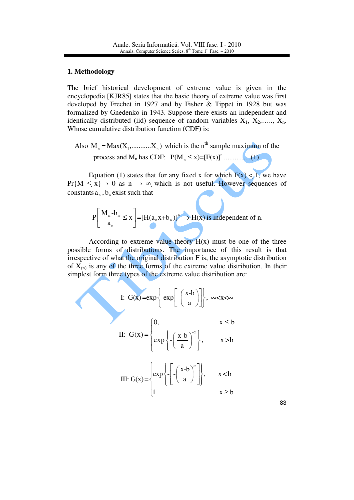### **1. Methodology**

The brief historical development of extreme value is given in the encyclopedia [KJR85] states that the basic theory of extreme value was first developed by Frechet in 1927 and by Fisher & Tippet in 1928 but was formalized by Gnedenko in 1943. Suppose there exists an independent and identically distributed (iid) sequence of random variables  $X_1, X_2, \ldots, X_n$ . Whose cumulative distribution function (CDF) is:

Also 
$$
M_n = Max(X_1, \dots, X_n)
$$
 which is the n<sup>th</sup> sample maximum of the process and  $M_n$  has CDF:  $P(M_n \le x) = [F(x)]^n \dots \dots \dots \dots (1)$ 

Equation (1) states that for any fixed x for which  $F(x) \leq 1$ , we have  $Pr{M \leq x} \rightarrow 0$  as  $n \rightarrow \infty$  which is not useful. However sequences of constants  $a_n$ ,  $b_n$  exist such that

$$
P\left[\frac{M_n - b_n}{a_n} \le x\right] = [H(a_n x + b_n)]^n \to H(x) \text{ is independent of n.}
$$

According to extreme value theory  $H(x)$  must be one of the three possible forms of distributions. The importance of this result is that irrespective of what the original distribution F is, the asymptotic distribution of  $X_{(n)}$  is any of the three forms of the extreme value distribution. In their simplest form three types of the extreme value distribution are:

I: 
$$
G(x) = exp\left\{-exp\left[-\left(\frac{x-b}{a}\right)\right]\right\}, -\infty < x < \infty
$$
  
\nII:  $G(x) = \begin{cases} 0, & x \le b \\ exp\left\{-\left(\frac{x-b}{a}\right)^{-\alpha}\right\}, & x > b \end{cases}$   
\nIII:  $G(x) = \begin{cases} exp\left\{-\left[-\left(\frac{x-b}{a}\right)^{\alpha}\right]\right\}, & x < b \end{cases}$ 

 $1 \quad x \geq b$ 

 $\begin{cases} 1 & x \geq 1 \end{cases}$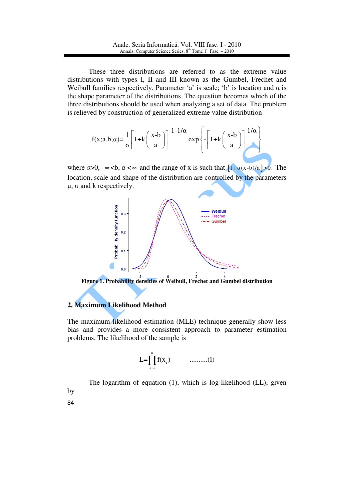These three distributions are referred to as the extreme value distributions with types I, II and III known as the Gumbel, Frechet and Weibull families respectively. Parameter 'a' is scale; 'b' is location and  $\alpha$  is the shape parameter of the distributions. The question becomes which of the three distributions should be used when analyzing a set of data. The problem is relieved by construction of generalized extreme value distribution

$$
f(x;a,b,\alpha) = \frac{1}{\sigma} \left[ 1 + k \left( \frac{x-b}{a} \right) \right]^{-1-1/\alpha} \exp \left\{ - \left[ 1 + k \left( \frac{x-b}{a} \right) \right]^{-1/\alpha} \right\}
$$

where  $\sigma > 0$ ,  $-\infty < b$ ,  $\alpha < \infty$  and the range of x is such that  $[1+\alpha(x-b)/a] > 0$ . The location, scale and shape of the distribution are controlled by the parameters  $μ$ ,  $σ$  and  $k$  respectively.



**Figure 1. Probability densities of Weibull, Frechet and Gumbel distribution** 

## **2. Maximum Likelihood Method**

The maximum likelihood estimation (MLE) technique generally show less bias and provides a more consistent approach to parameter estimation problems. The likelihood of the sample is

$$
L = \prod_{i=1}^{n} f(x_i) \qquad \qquad \dots \dots \dots \dots (1)
$$

The logarithm of equation (1), which is log-likelihood (LL), given by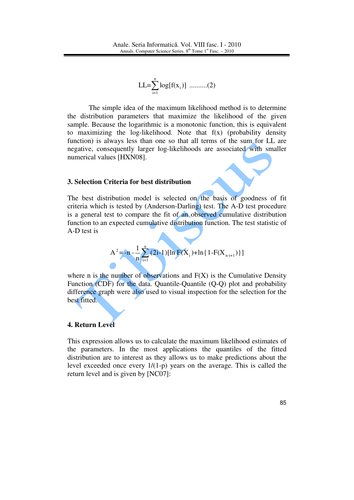$$
LL = \sum_{i=1}^{n} \log[f(x_i)] \quad \dots \dots \dots (2)
$$

The simple idea of the maximum likelihood method is to determine the distribution parameters that maximize the likelihood of the given sample. Because the logarithmic is a monotonic function, this is equivalent to maximizing the log-likelihood. Note that f(x) (probability density function) is always less than one so that all terms of the sum for LL are negative, consequently larger log-likelihoods are associated with smaller numerical values [HXN08].

#### **3. Selection Criteria for best distribution**

The best distribution model is selected on the basis of goodness of fit criteria which is tested by (Anderson-Darling) test. The A-D test procedure is a general test to compare the fit of an observed cumulative distribution function to an expected cumulative distribution function. The test statistic of A-D test is

$$
A^{2} = -n - \frac{1}{n} \sum_{i=1}^{n} (2i-1) [\ln F(X_{i}) + \ln \{1 - F(X_{n+i+1})\}]
$$

where n is the number of observations and  $F(X)$  is the Cumulative Density Function (CDF) for the data. Quantile-Quantile (Q-Q) plot and probability difference graph were also used to visual inspection for the selection for the best fitted.

#### **4. Return Level**

This expression allows us to calculate the maximum likelihood estimates of the parameters. In the most applications the quantiles of the fitted distribution are to interest as they allows us to make predictions about the level exceeded once every 1/(1-p) years on the average. This is called the return level and is given by [NC07]: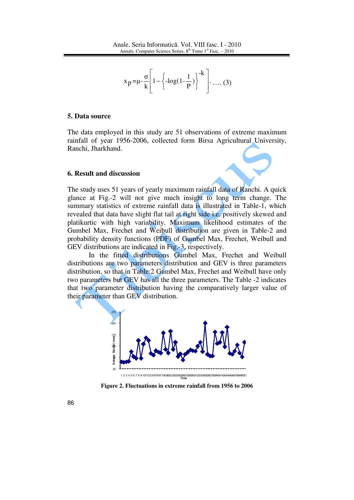$$
x_{p} = \mu - \frac{\sigma}{k} \left[ 1 - \left\{ -\log(1 - \frac{1}{P}) \right\}^{-k} \right] \dots (3)
$$

#### **5. Data source**

The data employed in this study are 51 observations of extreme maximum rainfall of year 1956-2006, collected form Birsa Agricultural University, Ranchi, Jharkhand.

#### **6. Result and discussion**

The study uses 51 years of yearly maximum rainfall data of Ranchi. A quick glance at Fig.-2 will not give much insight to long term change. The summary statistics of extreme rainfall data is illustrated in Table-1, which revealed that data have slight flat tail at right side i.e. positively skewed and platikurtic with high variability. Maximum likelihood estimates of the Gumbel Max, Frechet and Weibull distribution are given in Table-2 and probability density functions (PDF) of Gumbel Max, Frechet, Weibull and GEV distributions are indicated in Fig.-3, respectively.

In the fitted distributions Gumbel Max, Frechet and Weibull distributions are two parameters distribution and GEV is three parameters distribution, so that in Table:2 Gumbel Max, Frechet and Weibull have only two parameters but GEV has all the three parameters. The Table -2 indicates that two parameter distribution having the comparatively larger value of their parameter than GEV distribution.



**Figure 2. Fluctuations in extreme rainfall from 1956 to 2006**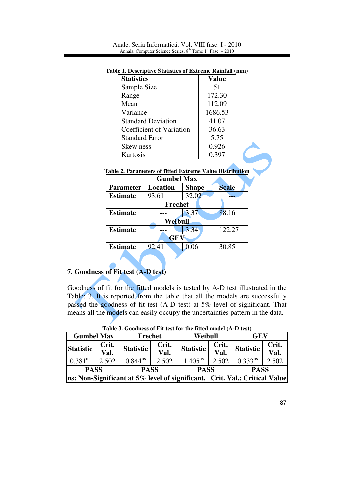| <b>Statistics</b>         | <b>Value</b> |
|---------------------------|--------------|
| Sample Size               | 51           |
| Range                     | 172.30       |
| Mean                      | 112.09       |
| Variance                  | 1686.53      |
| <b>Standard Deviation</b> | 41.07        |
| Coefficient of Variation  | 36.63        |
| <b>Standard Error</b>     | 5.75         |
| Skew ness                 | 0.926        |
| Kurtosis                  | 0.397        |

**Table 1. Descriptive Statistics of Extreme Rainfall (mm)**

|  | Table 2. Parameters of fitted Extreme Value Distribution |  |  |  |
|--|----------------------------------------------------------|--|--|--|
|  |                                                          |  |  |  |

| Skew ness                                                       | 0.926             |              |  |              |  |
|-----------------------------------------------------------------|-------------------|--------------|--|--------------|--|
| Kurtosis                                                        |                   |              |  | 0.397        |  |
|                                                                 |                   |              |  |              |  |
| <b>Table 2. Parameters of fitted Extreme Value Distribution</b> |                   |              |  |              |  |
|                                                                 | <b>Gumbel Max</b> |              |  |              |  |
| <b>Parameter</b>                                                | Location          | <b>Shape</b> |  | <b>Scale</b> |  |
| <b>Estimate</b>                                                 | 93.61             | 32.02        |  |              |  |
|                                                                 | <b>Frechet</b>    |              |  |              |  |
| <b>Estimate</b>                                                 |                   | 3.37         |  | 88.16        |  |
|                                                                 | Weibull           |              |  |              |  |
| <b>Estimate</b>                                                 |                   | 3.34         |  | 122.27       |  |
|                                                                 | <b>GEV</b>        |              |  |              |  |
| <b>Estimate</b>                                                 | 92.41             | 0.06         |  | 30.85        |  |
|                                                                 |                   |              |  |              |  |

## **7. Goodness of Fit test (A-D test)**

Goodness of fit for the fitted models is tested by A-D test illustrated in the Table: 3. It is reported from the table that all the models are successfully passed the goodness of fit test (A-D test) at 5% level of significant. That means all the models can easily occupy the uncertainties pattern in the data.

| Table 5. Goodness of Fit test for the fitted model (A-D test)              |       |                  |       |                          |                             |              |       |  |
|----------------------------------------------------------------------------|-------|------------------|-------|--------------------------|-----------------------------|--------------|-------|--|
| <b>Gumbel Max</b>                                                          |       | Frechet          |       | Weibull                  |                             | GEV          |       |  |
| <b>Statistic</b>                                                           | Crit. | <b>Statistic</b> | Crit. | <b>Statistic</b><br>Val. | Crit.                       | Statistic    | Crit. |  |
|                                                                            | Val.  |                  |       |                          | $\overline{\mathbf{Val}}$ . |              | Val.  |  |
| $0.381^{\overline{ns}}$                                                    | 2.502 | $0.844^{ns}$     | 2.502 | $1.405^{ns}$             | 2.502                       | $0.333^{ns}$ | 2.502 |  |
| <b>PASS</b><br><b>PASS</b><br><b>PASS</b><br><b>PASS</b>                   |       |                  |       |                          |                             |              |       |  |
| ns: Non-Significant at 5% level of significant, Crit. Val.: Critical Value |       |                  |       |                          |                             |              |       |  |

**Table 3. Goodness of Fit test for the fitted model (A-D test)**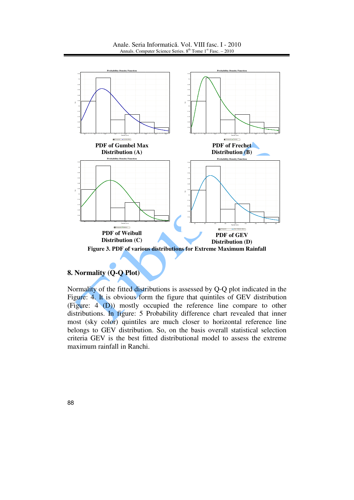Anale. Seria Informatică. Vol. VIII fasc. I - 2010 Annals. Computer Science Series. 8<sup>th</sup> Tome 1<sup>st</sup> Fasc. – 2010



## **8. Normality (Q-Q Plot)**

Normality of the fitted distributions is assessed by Q-Q plot indicated in the Figure: 4. It is obvious form the figure that quintiles of GEV distribution (Figure: 4 (D)) mostly occupied the reference line compare to other distributions. In figure: 5 Probability difference chart revealed that inner most (sky color) quintiles are much closer to horizontal reference line belongs to GEV distribution. So, on the basis overall statistical selection criteria GEV is the best fitted distributional model to assess the extreme maximum rainfall in Ranchi.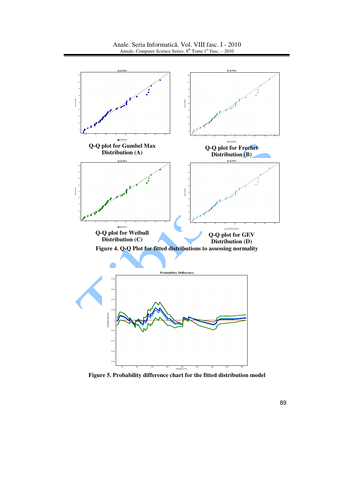

Anale. Seria Informatică. Vol. VIII fasc. I - 2010 Annals. Computer Science Series.  $8<sup>th</sup>$  Tome 1<sup>st</sup> Fasc. – 2010

**Figure 5. Probability difference chart for the fitted distribution model**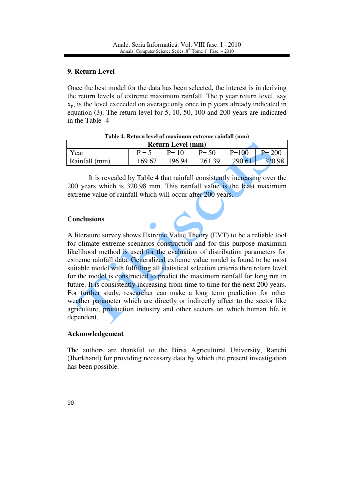## **9. Return Level**

Once the best model for the data has been selected, the interest is in deriving the return levels of extreme maximum rainfall. The p year return level, say  $x_p$ , is the level exceeded on average only once in p years already indicated in equation (3). The return level for 5, 10, 50, 100 and 200 years are indicated in the Table -4

| <b>Return Level</b> (mm) |         |          |          |           |            |  |  |
|--------------------------|---------|----------|----------|-----------|------------|--|--|
| Year                     | $P = 5$ | $P = 10$ | $P = 50$ | $P = 100$ | <b>200</b> |  |  |
| Rainfall (mm)            | 169.67  | 196.94   | 261.39   | 290.61    |            |  |  |

**Table 4. Return level of maximum extreme rainfall (mm)** 

It is revealed by Table 4 that rainfall consistently increasing over the 200 years which is 320.98 mm. This rainfall value is the least maximum extreme value of rainfall which will occur after 200 years.

## **Conclusions**

A literature survey shows Extreme Value Theory (EVT) to be a reliable tool for climate extreme scenarios construction and for this purpose maximum likelihood method is used for the evaluation of distribution parameters for extreme rainfall data. Generalized extreme value model is found to be most suitable model with fulfilling all statistical selection criteria then return level for the model is constructed to predict the maximum rainfall for long run in future. It is consistently increasing from time to time for the next 200 years. For further study, researcher can make a long term prediction for other weather parameter which are directly or indirectly affect to the sector like agriculture, production industry and other sectors on which human life is dependent.

## **Acknowledgement**

The authors are thankful to the Birsa Agricultural University, Ranchi (Jharkhand) for providing necessary data by which the present investigation has been possible.

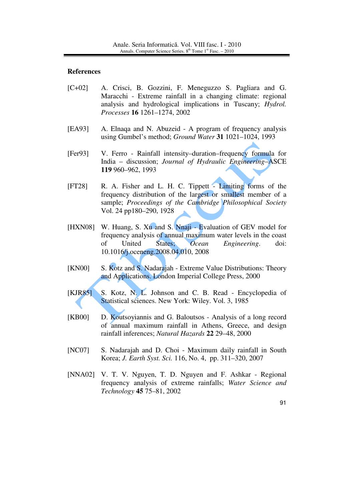#### **References**

- [C+02] A. Crisci, B. Gozzini, F. Meneguzzo S. Pagliara and G. Maracchi - Extreme rainfall in a changing climate: regional analysis and hydrological implications in Tuscany; *Hydrol. Processes* **16** 1261–1274, 2002
- [EA93] A. Elnaqa and N. Abuzeid A program of frequency analysis using Gumbel's method; *Ground Water* **31** 1021–1024, 1993
- [Fer93] V. Ferro Rainfall intensity–duration–frequency formula for India – discussion; *Journal of Hydraulic Engineering*–ASCE **119** 960–962, 1993
- [FT28] R. A. Fisher and L. H. C. Tippett Limiting forms of the frequency distribution of the largest or smallest member of a sample; *Proceedings of the Cambridge Philosophical Society* Vol. 24 pp180–290, 1928
- [HXN08] W. Huang, S. Xu and S. Nnaji Evaluation of GEV model for frequency analysis of annual maximum water levels in the coast of United States; *Ocean Engineering*. doi: 10.1016/j.oceneng.2008.04.010, 2008
- [KN00] S. Kotz and S. Nadarajah Extreme Value Distributions: Theory and Applications. London Imperial College Press, 2000
- [KJR85] S. Kotz, N. L. Johnson and C. B. Read Encyclopedia of Statistical sciences. New York: Wiley. Vol. 3, 1985
- [KB00] D. Koutsoyiannis and G. Baloutsos Analysis of a long record of annual maximum rainfall in Athens, Greece, and design rainfall inferences; *Natural Hazards* **22** 29–48, 2000
- [NC07] S. Nadarajah and D. Choi Maximum daily rainfall in South Korea; *J. Earth Syst. Sci.* 116, No. 4, pp. 311–320, 2007
- [NNA02] V. T. V. Nguyen, T. D. Nguyen and F. Ashkar Regional frequency analysis of extreme rainfalls; *Water Science and Technology* **45** 75–81, 2002